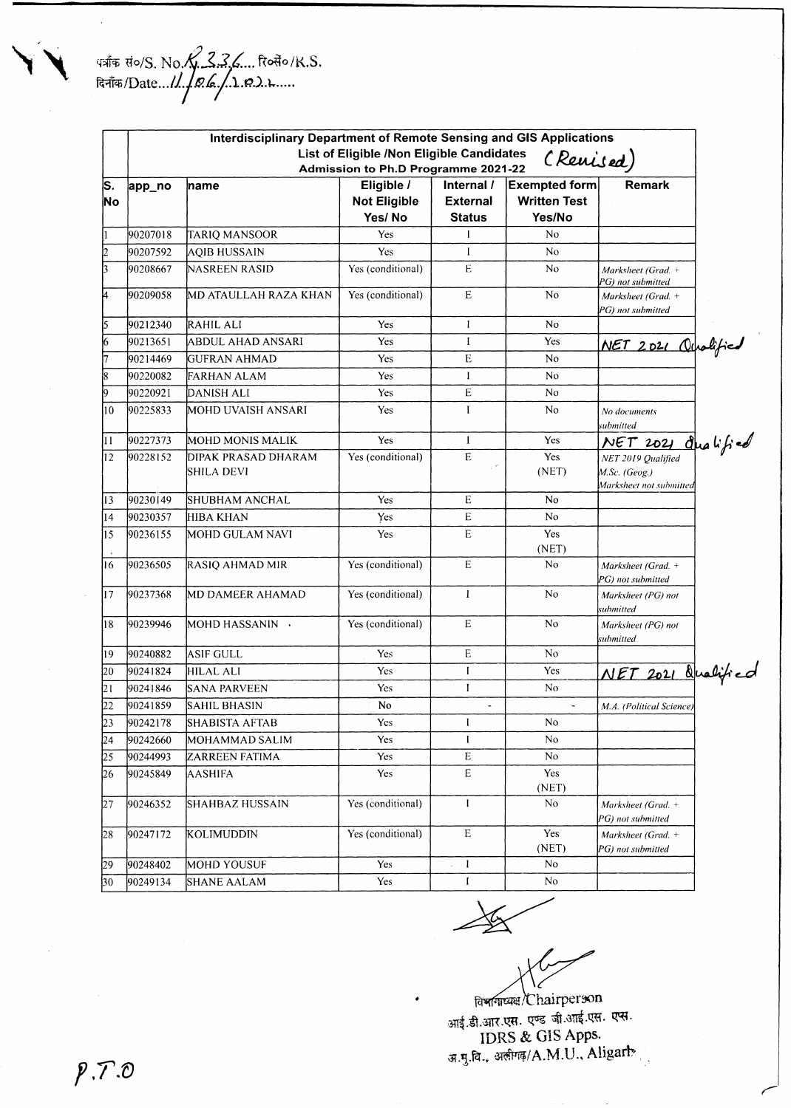|                                 |                                                                                               | <b>Interdisciplinary Department of Remote Sensing and GIS Applications</b> |                                   |                               |                                             |                                                                |  |  |  |
|---------------------------------|-----------------------------------------------------------------------------------------------|----------------------------------------------------------------------------|-----------------------------------|-------------------------------|---------------------------------------------|----------------------------------------------------------------|--|--|--|
|                                 | List of Eligible /Non Eligible Candidates<br>(Revised)<br>Admission to Ph.D Programme 2021-22 |                                                                            |                                   |                               |                                             |                                                                |  |  |  |
| $\overline{\mathbf{s}}$ .<br>No | app_no                                                                                        | ∣name                                                                      | Eligible /<br><b>Not Eligible</b> | Internal /<br><b>External</b> | <b>Exempted form</b><br><b>Written Test</b> | Remark                                                         |  |  |  |
|                                 |                                                                                               |                                                                            | Yes/No                            | <b>Status</b>                 | Yes/No                                      |                                                                |  |  |  |
| 11                              | 90207018                                                                                      | TARIQ MANSOOR                                                              | Yes                               |                               | No                                          |                                                                |  |  |  |
| 2                               | 90207592                                                                                      | AQIB HUSSAIN                                                               | Yes                               | $\bf{l}$                      | No                                          |                                                                |  |  |  |
| $\overline{\mathbf{3}}$         | 90208667                                                                                      | <b>NASREEN RASID</b>                                                       | Yes (conditional)                 | E                             | N <sub>o</sub>                              | Marksheet (Grad. +<br>PG) not submitted                        |  |  |  |
| 4                               | 90209058                                                                                      | MD ATAULLAH RAZA KHAN                                                      | Yes (conditional)                 | E                             | N <sub>o</sub>                              | Marksheet (Grad. +<br>PG) not submitted                        |  |  |  |
| 5                               | 90212340                                                                                      | RAHIL ALI                                                                  | Yes                               | $\mathbf{I}$                  | No.                                         |                                                                |  |  |  |
| $\overline{6}$                  | 90213651                                                                                      | ABDUL AHAD ANSARI                                                          | Yes                               | 1                             | Yes                                         | NET 2021 Ourslified                                            |  |  |  |
| 7                               | 90214469                                                                                      | GUFRAN AHMAD                                                               | Yes                               | E                             | No                                          |                                                                |  |  |  |
| 8                               | 90220082                                                                                      | <b>FARHAN ALAM</b>                                                         | Yes                               | $\bf{l}$                      | N <sub>0</sub>                              |                                                                |  |  |  |
| l9                              | 90220921                                                                                      | DANISH ALI                                                                 | Yes                               | E                             | No                                          |                                                                |  |  |  |
| 10                              | 90225833                                                                                      | MOHD UVAISH ANSARI                                                         | Yes                               | I                             | No                                          | No documents<br>submitted                                      |  |  |  |
| 11                              | 90227373                                                                                      | MOHD MONIS MALIK                                                           | Yes                               | $\bf{l}$                      | Yes                                         | NET 2021 Qualified                                             |  |  |  |
| 12                              | 90228152                                                                                      | DIPAK PRASAD DHARAM<br>SHILA DEVI                                          | Yes (conditional)                 | $\mathbf E$                   | Yes<br>(NET)                                | NET 2019 Qualified<br>M.Sc. (Geog.)<br>Marksheet not submitted |  |  |  |
| 13                              | 90230149                                                                                      | SHUBHAM ANCHAL                                                             | Yes                               | E                             | N <sub>o</sub>                              |                                                                |  |  |  |
| 14                              | 90230357                                                                                      | HIBA KHAN                                                                  | Yes                               | ${\bf E}$                     | No.                                         |                                                                |  |  |  |
| 15                              | 90236155                                                                                      | MOHD GULAM NAVI                                                            | Yes                               | E                             | Yes<br>(NET)                                |                                                                |  |  |  |
| 16                              | 90236505                                                                                      | RASIQ AHMAD MIR                                                            | Yes (conditional)                 | E                             | N <sub>o</sub>                              | Marksheet (Grad. +<br>PG) not submitted                        |  |  |  |
| 17                              | 90237368                                                                                      | MD DAMEER AHAMAD                                                           | Yes (conditional)                 | $\mathbf{I}$                  | No                                          | Marksheet (PG) not<br>submitted                                |  |  |  |
| 18                              | 90239946                                                                                      | MOHD HASSANIN →                                                            | Yes (conditional)                 | E                             | N <sub>0</sub>                              | Marksheet (PG) not<br>submitted                                |  |  |  |
| 19                              | 90240882                                                                                      | <b>ASIF GULL</b>                                                           | Yes                               | E                             | N <sub>o</sub>                              |                                                                |  |  |  |
| 20                              | 90241824                                                                                      | HILAL ALI                                                                  | Yes                               | I                             | Yes                                         | NET 2021 Qualified                                             |  |  |  |
| 21                              | 90241846                                                                                      | <b>SANA PARVEEN</b>                                                        | Yes                               | $\mathbf I$                   | N <sub>o</sub>                              |                                                                |  |  |  |
| 22                              | 90241859                                                                                      | SAHIL BHASIN                                                               | No.                               | $\frac{1}{2}$                 |                                             | M.A. (Political Science)                                       |  |  |  |
| 23                              | 90242178                                                                                      | <b>SHABISTA AFTAB</b>                                                      | Yes                               | I                             | No                                          |                                                                |  |  |  |
| 24                              | 90242660                                                                                      | MOHAMMAD SALIM                                                             | Yes                               | $\mathbf{I}$                  | No                                          |                                                                |  |  |  |
| 25                              | 90244993                                                                                      | ZARREEN FATIMA                                                             | Yes                               | E                             | $\rm No$                                    |                                                                |  |  |  |
| 26                              | 90245849                                                                                      | AASHIFA                                                                    | Yes                               | E                             | Yes<br>(NET)                                |                                                                |  |  |  |
| 27                              | 90246352                                                                                      | SHAHBAZ HUSSAIN                                                            | Yes (conditional)                 | I                             | No                                          | Marksheet (Grad. +<br>PG) not submitted                        |  |  |  |
| 28                              | 90247172                                                                                      | kolimuddin                                                                 | Yes (conditional)                 | $\mathbf E$                   | Yes<br>(NET)                                | Marksheet (Grad. +<br>PG) not submitted                        |  |  |  |
| 29                              | 90248402                                                                                      | <b>MOHD YOUSUF</b>                                                         | Yes                               | $\mathbf{I}$                  | No                                          |                                                                |  |  |  |
| 30                              | 90249134                                                                                      | <b>SHANE AALAM</b>                                                         | Yes                               | $\mathbf I$                   | No                                          |                                                                |  |  |  |

*fasquite* / Chairperson आई.डी.आर.एस. एण्ड जी.ऑई.एस. एस **IDRS & GIS Apps. st.g.fa., «#i?/A.M.U., Aligarh**

*T f )*